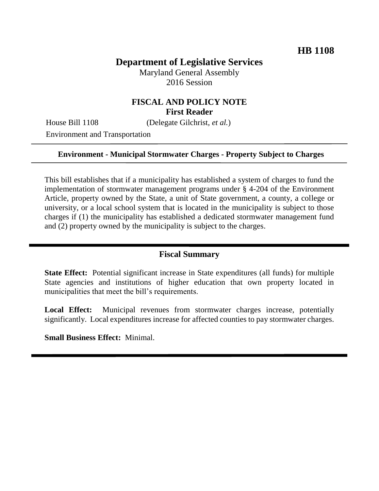# **Department of Legislative Services**

Maryland General Assembly 2016 Session

## **FISCAL AND POLICY NOTE First Reader**

House Bill 1108 (Delegate Gilchrist, *et al.*)

Environment and Transportation

#### **Environment - Municipal Stormwater Charges - Property Subject to Charges**

This bill establishes that if a municipality has established a system of charges to fund the implementation of stormwater management programs under § 4-204 of the Environment Article, property owned by the State, a unit of State government, a county, a college or university, or a local school system that is located in the municipality is subject to those charges if (1) the municipality has established a dedicated stormwater management fund and (2) property owned by the municipality is subject to the charges.

#### **Fiscal Summary**

**State Effect:** Potential significant increase in State expenditures (all funds) for multiple State agencies and institutions of higher education that own property located in municipalities that meet the bill's requirements.

**Local Effect:** Municipal revenues from stormwater charges increase, potentially significantly. Local expenditures increase for affected counties to pay stormwater charges.

**Small Business Effect:** Minimal.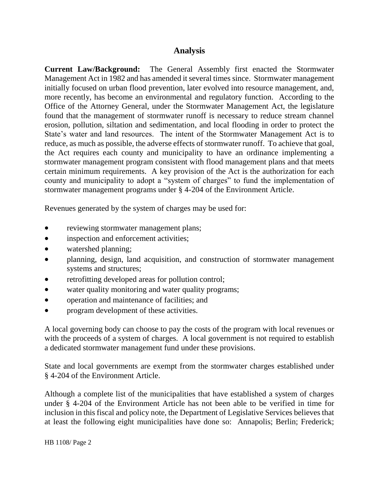### **Analysis**

**Current Law/Background:** The General Assembly first enacted the Stormwater Management Act in 1982 and has amended it several times since. Stormwater management initially focused on urban flood prevention, later evolved into resource management, and, more recently, has become an environmental and regulatory function. According to the Office of the Attorney General, under the Stormwater Management Act, the legislature found that the management of stormwater runoff is necessary to reduce stream channel erosion, pollution, siltation and sedimentation, and local flooding in order to protect the State's water and land resources. The intent of the Stormwater Management Act is to reduce, as much as possible, the adverse effects of stormwater runoff. To achieve that goal, the Act requires each county and municipality to have an ordinance implementing a stormwater management program consistent with flood management plans and that meets certain minimum requirements. A key provision of the Act is the authorization for each county and municipality to adopt a "system of charges" to fund the implementation of stormwater management programs under § 4-204 of the Environment Article.

Revenues generated by the system of charges may be used for:

- reviewing stormwater management plans;
- inspection and enforcement activities;
- watershed planning;
- planning, design, land acquisition, and construction of stormwater management systems and structures;
- retrofitting developed areas for pollution control;
- water quality monitoring and water quality programs;
- operation and maintenance of facilities; and
- program development of these activities.

A local governing body can choose to pay the costs of the program with local revenues or with the proceeds of a system of charges. A local government is not required to establish a dedicated stormwater management fund under these provisions.

State and local governments are exempt from the stormwater charges established under § 4-204 of the Environment Article.

Although a complete list of the municipalities that have established a system of charges under § 4-204 of the Environment Article has not been able to be verified in time for inclusion in this fiscal and policy note, the Department of Legislative Services believes that at least the following eight municipalities have done so: Annapolis; Berlin; Frederick;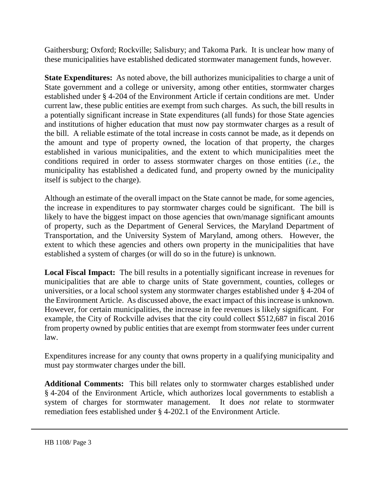Gaithersburg; Oxford; Rockville; Salisbury; and Takoma Park. It is unclear how many of these municipalities have established dedicated stormwater management funds, however.

**State Expenditures:** As noted above, the bill authorizes municipalities to charge a unit of State government and a college or university, among other entities, stormwater charges established under § 4-204 of the Environment Article if certain conditions are met. Under current law, these public entities are exempt from such charges. As such, the bill results in a potentially significant increase in State expenditures (all funds) for those State agencies and institutions of higher education that must now pay stormwater charges as a result of the bill. A reliable estimate of the total increase in costs cannot be made, as it depends on the amount and type of property owned, the location of that property, the charges established in various municipalities, and the extent to which municipalities meet the conditions required in order to assess stormwater charges on those entities (*i.e.,* the municipality has established a dedicated fund, and property owned by the municipality itself is subject to the charge).

Although an estimate of the overall impact on the State cannot be made, for some agencies, the increase in expenditures to pay stormwater charges could be significant. The bill is likely to have the biggest impact on those agencies that own/manage significant amounts of property, such as the Department of General Services, the Maryland Department of Transportation, and the University System of Maryland, among others. However, the extent to which these agencies and others own property in the municipalities that have established a system of charges (or will do so in the future) is unknown.

**Local Fiscal Impact:** The bill results in a potentially significant increase in revenues for municipalities that are able to charge units of State government, counties, colleges or universities, or a local school system any stormwater charges established under § 4-204 of the Environment Article. As discussed above, the exact impact of this increase is unknown. However, for certain municipalities, the increase in fee revenues is likely significant. For example, the City of Rockville advises that the city could collect \$512,687 in fiscal 2016 from property owned by public entities that are exempt from stormwater fees under current law.

Expenditures increase for any county that owns property in a qualifying municipality and must pay stormwater charges under the bill.

**Additional Comments:** This bill relates only to stormwater charges established under § 4-204 of the Environment Article, which authorizes local governments to establish a system of charges for stormwater management. It does *not* relate to stormwater remediation fees established under § 4-202.1 of the Environment Article.